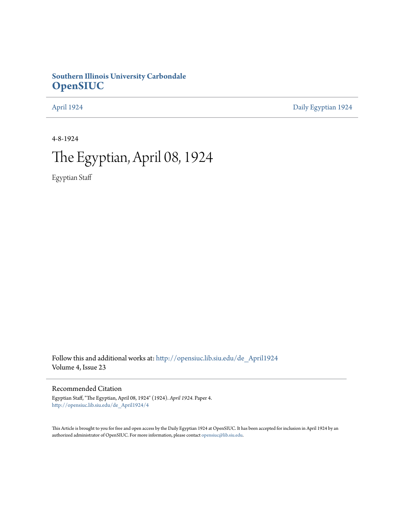## **Southern Illinois University Carbondale [OpenSIUC](http://opensiuc.lib.siu.edu?utm_source=opensiuc.lib.siu.edu%2Fde_April1924%2F4&utm_medium=PDF&utm_campaign=PDFCoverPages)**

[April 1924](http://opensiuc.lib.siu.edu/de_April1924?utm_source=opensiuc.lib.siu.edu%2Fde_April1924%2F4&utm_medium=PDF&utm_campaign=PDFCoverPages) [Daily Egyptian 1924](http://opensiuc.lib.siu.edu/de_1924?utm_source=opensiuc.lib.siu.edu%2Fde_April1924%2F4&utm_medium=PDF&utm_campaign=PDFCoverPages)

4-8-1924

# The Egyptian, April 08, 1924

Egyptian Staff

Follow this and additional works at: [http://opensiuc.lib.siu.edu/de\\_April1924](http://opensiuc.lib.siu.edu/de_April1924?utm_source=opensiuc.lib.siu.edu%2Fde_April1924%2F4&utm_medium=PDF&utm_campaign=PDFCoverPages) Volume 4, Issue 23

#### Recommended Citation

Egyptian Staff, "The Egyptian, April 08, 1924" (1924). *April 1924.* Paper 4. [http://opensiuc.lib.siu.edu/de\\_April1924/4](http://opensiuc.lib.siu.edu/de_April1924/4?utm_source=opensiuc.lib.siu.edu%2Fde_April1924%2F4&utm_medium=PDF&utm_campaign=PDFCoverPages)

This Article is brought to you for free and open access by the Daily Egyptian 1924 at OpenSIUC. It has been accepted for inclusion in April 1924 by an authorized administrator of OpenSIUC. For more information, please contact [opensiuc@lib.siu.edu](mailto:opensiuc@lib.siu.edu).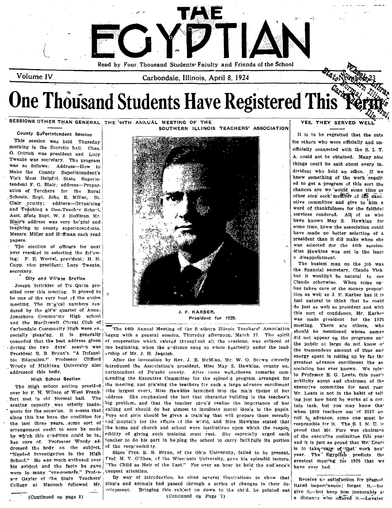

 $\rm Volume~IV_{\odot}$ 

Carbondale, Illinois, April 8, 1924

# **One Thousand Students Have Registered This**

SESSIONS OTHER THAN GENERAL THE 44TH ANNUAL MEETING OF THE

County Su<sup>p</sup>erintendent Session

This session was held Thursday morning in the Socratic hall. Chas. O. Ottrich was president and Lucy Twente was secretary. The program was as follows: Address-How to Make the County Superintendent's Visit Most Helpful, State Superintendent F. G. Blair; address-Preparation of Teachers for the Rural Schools, Supt. John E. Miller. St. Clair ceunty; address-Organizing and Teaching a One-Teacher School, Asst. State Supt. W. J. Hoffman. Mr. Blair's address was very he'pful and inspiring to county superintendents. Messrs. Miller and Heffman each read papers.

The election of officers for next year resulted in selecting the following: F. E. Worrel, pres'dent; H. N. Cupp, vice president; Lucy Twente, secretary.

#### City and Village Section

Joseph Strickler of Du Quein presided over this meeting. It proved to be one of the very best of the entire meeting. The mugical numbers rendered by the gir's' quartet of Anna-Jonesboro Community High school and the MacDowell Cheral Club of Carbondale Community High were es. pecially pleasing. It is generally conceded that the best address given during the two days' session was President E. B. Bryan's. "A Defensible Education." Professor Clifford Woody of Michigan University also addressed this body.

#### High School Section

The High school section presided over by F. H. Wilson of West Frankfort met in old Normal hall. The seating capacity was utterly inadequate for the occas'on. It seems that since this has been the condition for the last three years, some sort of arrangement ought to soon be made by wh'ch this condition could be ta. ken care of. Professor Woody addressed the body on the subject. "Needed Investigation in the High School." He was much enthused over his subject and the facts he gave. were to many "eve-openers." Professor Gayler of the State Teachers' Cellege at Macomb followed Mr.

SOUTHERN ILLINOIS TEACHERS' ASSOCIATION



J. F. KARBER. President for 1925.

The 44th Annual Meeting of the Southern Illinois Teachers' Association tegan with a general session, Thursday afternoon, March 27. The spirit of cooperation which existed throughout all the sessions, was evinced at the beginning, when the andience sang so whole heartedly under the leadership of Mr. J. H. Jaquish.

After the invocation by Rev. J. B. McMinn, Mr. W. O. Brewn cleverly introduced the Association's president, Miss May S. Hawkins, county sulrerintendent of Pulaski county. After some well\_chosen remarks commending the Executive Committee for the splendid program arranged for the meeting, and praising the teachers for such a large advance enrollment (the largest ever), Miss Hawkins launched into the main theme of her address. She emphasized the fact that character building is the teacher's big problem, and that the teacher should realize the importance of her calling and should do her utmost to inculcate moral ideals in the pupils. Poys and girls should be given a training that will prepare them morally and mentally for the affairs of the world, and Miss Hawkins stated that the home and church and school were institutions upon which the responsibility of giving such training must rest. She especially urged each teacher to do his part in helping the school to carry faithfully its portion of the responsibility.

Since Pres. E. B. Bryan, of the Ohio University, failed to be present. Prof. M. V. O'Shea, of the Wisconsin University, gave his splendid lecture, "The Child as Heir of the Past." For over an hour he held the audlence's Geepest attention.

By way of introduction, he cited several illustrations to show that plants and animals had passed through a series of changes in their development. Bringing this subject on down to the child, he pointed out (Continued on Page 7)

#### YES, THEY SERVED

It is to be regretted that the cuts for others who were officially and unofficially connected with the S. I. T. A. could not be obtained. Many nice things could be said about every individual who held an office. If we knew something of the work required to get a program of this sort the chances are we would some time or other stop each member of the executive committee and give to him a word of thankfulness for the faithful services rendered. All of us who have known May S. Hawkins for some time, knew the association could have made no better selection of a president than it did make when she was selected for the 44th session. Miss Hawkins was not in the least a disappointment.

The busiest man on the job was the financial secretary, Claude Vick. but it wouldn't be natural to see Claude otherwise. When some onhas taken care of the money proposttion as well as J. F. Karber has it is just natural to think that he could do just as well as president and with this sort of confidence, Mr. Karber was made president for the 1925 meeting. There are others, who should be mentioned whose names did not appear on the programs and the public at large do not know o' the tremendous amount of time and energy spent in rolling up by far the greatest advance enrollment the association has ever known. We refer to Professor E. G. Lentz, this year's publicity agent and chairman of the executive committee for next year Mr. Lentz is not in the habit of tell ing just how hard he works at a certain task. but you may know that when 1800 teachers out of 2517 enroll in advance, some one must be responsible for it. The S. I. N. U. is proud that Mr. Furr was chairman of the executive committee this year and it is just as proud that Mr. Lentz is to take care of that work next year. The Egyptian predicts the greatest meeting for 1925 that we have ever had...

Receive no satisfaction for premed itated impertinence; forget it.-for give it,-but keep him inexorably at a distance who offered it.-Lavater.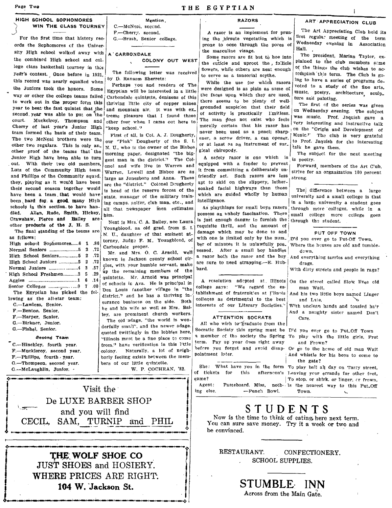Page Two

#### HIGH SCHOOL SOPHOMORES WIN THE CLASS TOURNEY

For the first time that history records the Sophomores of the University High school walked away with the combined High school and college class basketball tourney in this year's contest. Once before in 1921, this record was nearly equalled when the Juniors took the honors. Some way or other the college teams failed to work out in the proper form this year to beat the fast quintet that the second year was able to put on the court. Muckelroy, Thompson and Cherry of last year's Junior High team formed the basis of their team. The two McNeal brothers were the other two regulars. This is only an\_ other proof of the teams that the Junior High have been able to turn out. With their two old members, Lutz of the Community High team and Phillips of the Community squad, they, playing as it would have been their second season together would have been a team that would have been hard for a good many High schools in this section to have han-Allen, Rude, Smith, Hickey, háih Crawshaw, Pierce and Bailey are other products of the J. H. S.

The final standing of the teams are as fellows: High school Sophomores......6 1 -86 Normal Seniors ...........................5 2 .72 High School Seniors................. 5 2 .72 High School Juniors ...............5 2 .72  $.57$ High School Freshmen............2 5 .29 The Egyptian has picked the fol-

lowing as the all-star team: C.-Lawless, Senior.

- F.-Benton, Senior.
- F.-Harper, Senior.
- G.-Birkner, Junior.

G.-Fishel, Senior.

**Second Team** 

C.-Hinckley, fourth year. F. Muckleroy, second year.

- 
- F.--Phillips, fourth year.
- G.-Thompson, second year.
- G.-McLaughlin, Junior. .

Mention. C.-McNeal, second. F .- Cherry. second. G. Brush, Senior college.

#### A CARBONDALE

COLONY OUT WEST

The following letter was received by D. Ransom Sherretz:

Perhaps vou and readers of The Egyptian will be interested in a little Carbondale quintette, denizens of this thriving little city of copper mines and mountain air. It was with ex. treme pleasure that I found these other four when I came out here to "keep schcol."

First of all, is Col. A. J. Dougherty, our "Pink" Dougherty of the S. I. N. U., who is the owner of the Bisbee morning paper, designated "the biggest man in the district." The Colonel and wife live in Warren and Warren, Lowell and Bisbee are as large as Jonesboro and Anna. These are the "district." Colonel Deugherty is head of the reserve forces of the state, manager of the military training camps, golfer, club man, etc., and all that newspaper men estimates bim.

Next is Mrs. C. A. Bailey, nee Laura Youngblood, an old grad, from S. I. N. U., daughter of that eminent attorney, Judge F. M. Youngblood, of Carbondale proper.

Mr. and Mrs. O. C. Arnold, well known in Jackson county school circles, with your humble servant, make up the remaining members of the quintette. Mr. Arnold was principal of schools in Ava. He is principal in Don Louis (another village in "the district," and he has a thriving insurance business on the side. Both be and his wife as well as Mrs. Bailey, are prominent church workers.

The old adage, "the world is wonderfully small", and the newer adage. quoted twittingly in the lobbies here, "Illinois must be a fine place to come from." have verification in this little colony. Naturally, a lot of neighborly feeling exists between the members of our little quintette.

W. P. COCHRAN, '82.

THE EGYPTIAN

#### **RAZORS**

A razor is an implement for pruning the hirsute vegetation which is prone to ooze through the pores of the masculine visage.

Some razers are fit but to hoe into the cuticle and uproot the, follicle flowers, while others are neat enough to serve as a tonsorial scythe.

While the use for which razors were designed is as plain as some of the faces upon which they are used, there seems to be plenty of wellgrounded suspicion that their field of activity is practically l'mitless. The man does not exist who feels morally certain that his razor has never been used as a pencil sharpener, a screw driver, a can opener, or at least as an instrument of sur\_ gical chiropody.

A safety razor is one which is equipped with a fender to prevent it from committing a deliberately unfriendly act. Such razors are less apt to skid on the slippery, lathersoaked facial highways than those which are guided wholly by human intelligence.

As playthings for small boys razors possess an unholy fascination. There is just enough danger to furnish the requisite thrill, and the amount of damage which may be done to and with one is jimited only by the num. ber of minutes it is unlawfully pos. sessed. After a small boy handles a razor both the razor and the boy are sure to need strapping.---E. Hubbard.

A resolution adepted at Illinois college says: "We regard the establishment of fraternitles at l'linois colleges as detrimental to the best interests of our Literary Societies."

#### ATTENTION SOCRATS

All who wish to graduate from the Socratic Society this spring must be Did you ever go to Put\_Off Town a member of the society the Spring To play with the little girls, Fret term. Pay up your dues right away before you forget and avoid disappointment later.

She: What have you in the form To play ball all day on Tarry street. of tickets for game?

Agent: ing else. -Punch Bowl.

#### **ART APPRECIATION CLUB**

The Art Appreciation Club held its first regular meeting of the term Wednesday evening in Association Hall.

The president, Marian Taylor, explained to the club members some of the things the club wishes to accomplish this term. The Club is going to have a series of programs devoted to a study of the fine arts, music, poetry, architecture sculp\_ ture and painting.

The first of the series was given on Wednesday evening. The subject was music. Prof. Jaquish gave a very interesting and instructive talk on the "Origin and Development of Music." The club is very grateful to Prof. Jaquish for the interesting talk he gave them.

The subject for the next meeting is poetry.

Forward, members of the Art C'ub, strive for an organization 100 percent strong.

The, difference between a large university and a small college is that in a large university a student goes through more colleges, while in a small college more college goes through the student.

PUT OFF TOWN

D'd you ever go to Put-Off Town, Where the houses are old and tumbledewn,

And everything tarries and everything drags.

With dirty streets and people in rags?

On the street called Slow lives old man Wait.

And his two little boys named Linger and Late,

With unclean hands and tousled hair And a naughty sister named Don't Care.

and Frown?

Or go to the home of old man Wait And whistle for his boys to come to the gate?

this afterneon's Leaving your errands for other feet, To stop, or shirk, or linger, or frown, Pasteboard. Miss, noth- Is the nearest way to this Put\_Off Town. s.



Now is the time to think of eating here next term. You can sure save money. Try it a week or two and be convinced.

THE WOLF SHOE CO **JUST SHOES and HOSIERY.** WHERE PRICES ARE RIGHT. 104 W. Jackson St.

Visit the

De LUXE BARBER SHOP

and you will find

CECIL, SAM, TURNIP and PHIL

RESTAURANT. CONFECTIONERY. **SCHOOL SUPPLIES.** 

STUMBLE INN

Across from the Main Gate.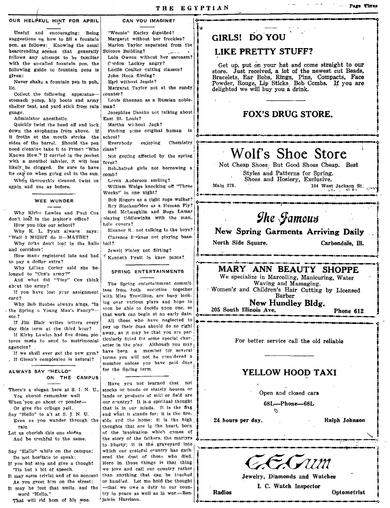**la**<br>.<br>.

I

I

#### OUR HELPEUL HINT FOR APRIL

Useful and encouraging: Being suggestions  $o_n$  how to fill a fountain pen, as follows: Knowing the usual heartrending scenes that generally follows any attempt to be familiar with the so·called fountain pen, the following guide to fountain pens is given:

Never shake a fountain pen in pub\_ lic.

Collect the following apparatusstomach pump, hip boots and army Louis Shannan as a Russian nobleshelter tent, and yard stick from rain man? guage. The Casar of talking about the Josephine Daszko not talking about

Administer anesthetic.<br>Quickly twist the head off and lock Martha without Jack? Quickly twist the head off and lock Martha without Jack?<br>wn the esophagus from above. If Finding some original human in down the esophagus from above. If it froths at the mouth stroke the schcol?<br>sides of the barrel. Should the nen Everybody sides of the barrel. Should the pen Eve<br>need cleaning take it to Prince "Who class? need cleaning take it to Prince "Who Knows How." If carried in the pocket  $\vert$  Not getting affected by the spring with a menthol inheler, it will less  $\begin{bmatrix} \text{every} \\ \text{likely} \end{bmatrix}$  be clogged. Be sure to have  $\begin{bmatrix} \text{Rob.} \\ \text{Bob.} \end{bmatrix}$ its cap on when going out in the sun.  $|_{\text{comb}}$ ?

When thoroughly cleaned, twist on Loren A,derson smiling?<br>again and use as before. William Welge knocking off "Three

#### WEE WUNDER

Why Kirby Lawles and Paul Cox don't loat in the janitor's office? How you like our school?

Why K. L. Pyatt always says: "Well I MIGHT do it-MAYBE? | Clarence Prkner not playing base-

Why folks don't loaf in the halls ball? and corridors:  $Jewel$  Finley not flirting?

How many registered late and had to pay a dollar extra?

longed to "Cox's army?"

And what did "Tiny" Cox think ab~ut the army?

tures made to send to matrimonial agencies?  $\frac{1}{2}$  acter in the play. Although you may agencies?

#### ALWAYS SAY "HELLO" ON THE CAMPUS'

There's a slogan here at S. 1. N. U., You should remember well When'you go about cr ponder-

Or give the college Yell. Say "Hello" to a'l at S. I. N. U.

Even as you wander through the rain

Let us cherish this one slogan And be truthful to the same.

Say "Hello" while on the campus; Do not hesitate to speak;

It may be just that smile. and the

That will rid hom of his woe. <sup>*i*</sup> jamin Harrison.

#### CAN YOU IMAGINE?

"Weenie" Kerley dignified? Margaret without her freckles? Marlon Taylor separated from the Science Building?

Lulu Owens without her sarcasm? Cordon Lackey angry?

Lucile Coulter cutting classes? John Heck flirting?

Earl without Jessie?

Margaret Taylor not at the candy counter?

enjoying Chemistry  $\phi$  . The mass construction of the construction of the construction of  $\phi$  . The construction of  $\phi$ 

Bob\_haired girls not borrowing a

william Welge knocking off "Three  $\begin{array}{|l|}\n\hline\n\text{Main 278.} & 104 \text{ West Jackson St. } \n\end{array}$  ...

Bob Rogers as a tight rope walker?<br>Rey Steckenrider as a Human Fly? Red McLaughlin and Bugs Lamar  $\left| \begin{array}{ccc} \text{Red} & \text{McLaychlin} & \text{and } \text{Bugs} & \text{Lamar} \\ \text{mlaying tididlewinks} & \text{with the man.} \end{array} \right|$ hole covers?

Eleanor R. not talking to the boys?

And what did "Tiny" Cox think The Spring entertainment commit.<br>
about the army?<br>
If you have lost your assignment tess from both societies together when is and Children's Hair Cutting by Licensed<br>
The Spring entertainment The Spring a Young Man's Fancy'- scon be able to decide upon one, so the Spring a Young Man's Fancy'- scon be able to decide upon one, so the Spring a Young Man's Fancy'- scon be able to decide upon one, so that work can b It Jim Blair writes letters every and the those who have neglected to the stress every and the third hour? The dust that work can begin at an early date. The stress every show that the third hour? day this term at the third hour?  $\begin{vmatrix} \text{pay up their dues should do so right} \\ \text{if} \text{Kirby} \text{ Lawles had five dozen pic} \\ \text{there are part} \\ \text{there are part} \end{vmatrix}$  away, as it may be that you are par-If we sh,...<br>If we shall ever get the new gym? have been a member for several<br>If Clean's complexion is natural? terms you will not be cansidered a . If Glenn's complexion is natural? i terms you will not he considered a.<br>
intermediately member unless you have paid dues

Have you not learned that not stocks or bonds or stately houses or lands or products of mill or field are our country? It is a spiritual thought that is in our minds. It is the flag and what it stands for; it is the fireside ard the home; it is the high thoughts that are in the heart, born thoughts that are in the heart, born  $\theta$  of the inspiration which comes of  $\theta$  the story of the fathers, the martyrs  $\phi$ to liberty; It is the graveyard Into which our grateful country has gathered the dust of those who died. If you but stop and give a thought | Here in these things is that thing 'Tis but a bit of speech. We love and call our country rather It may seem trivial and of no account than anything that can be touched As you greet him on the street: or handled. Let me hold the thought<br>may be just that smile, and the ----that we owe a duty to our counword "Hello,"  $\vert$  try in peace as well as in war.—Ben·

#### GIRLS! DO YOU

#### LIKE PRETTY STUFF?

Get up, put on your hat and come straight to our store. Just received, a lot of the newest cut Beads, Bracelets, Ear Bobs, Rings, Pins, Compacts, Face Powder, Rouge, Lip Sticks Bob Combs. If you are delighted we will buy you a drink.

#### FOX'S DRUG STORE.

# Wolf's Shoe Store

Not Cheap Shoes: But Good Shoes Cheap. Best

Styles and Patterns for Spring. Shoes and Hosiery, Exclusive.

Main 218.

#### New Spring Garments Arriving Daily

North Side Square.  $\int_0^\infty$ 

Carbondale, Ill.

# and had "Kenneth Fyatt in knee ~ants? .: .. ~---- \_\_\_ U\_O\_II\_II\_a\_a\_ .\_.: ... ......-.-.-.-~ . ..-.. \_\_\_\_\_\_\_\_ . \_\_\_\_ 1\_- \_\_\_ \_ SPRING ENTERTAINMENTS I ~~!~ali~~~ar!~!~Ja!cur%~~~t:rE Why Lillian Corley saId she be- -·t~

\_\_\_\_\_ ~'H \_\_\_ '\_ • .-.. ~,\_w. \_\_ ~\_\_ ~

! ।<br>।

For better service call the old reliable

#### YELLOW HOOD TAXI

Open and closed cars

~

68L-Phone-68L

24 hours per day.

Radios

Ralph Johnson

Jewelry, Diamonds and Watches

I. C. Watch Inspector Radios I. C. Watch Inspector Optometrist

..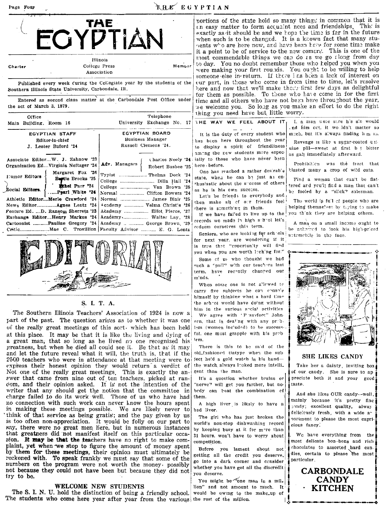#### **RHE EGYPTIAN**

| TAE                                                                                                                                         |                                                                                                                                              |  |
|---------------------------------------------------------------------------------------------------------------------------------------------|----------------------------------------------------------------------------------------------------------------------------------------------|--|
| Charter                                                                                                                                     | Illinois<br>College Press<br>Memuer<br>Association                                                                                           |  |
| Southern Illinois State University, Carbondale, Ill.                                                                                        | Published every week during the Collegiate year by the students of the<br>Entered as second class matter at the Carbondale Post Office under |  |
| the act of March 3, 1879.<br>Office<br>Main Building, Room 16                                                                               | Telephone<br>University Exchange No. 17                                                                                                      |  |
| EGYPTIAN STAFF<br>Editor-in-chief<br>J. Lester Buford '24                                                                                   | EGYPTIAN BOARD<br>Business Manager<br>Russell Clemens 24.                                                                                    |  |
| Associate EditorW. J. Zahnow '23<br>Organization EdVirginia Neftzger '24<br>Margaret Fox '26                                                | Charles Neely '24<br>Adv. Managers<br>Robert Busbee '25<br>Typist  Thelma Deck '24                                                           |  |
| Humor Editors<br>Bestie Brooks '25<br>thei Parr '24<br>Social Editors.<br>Pearl White '24                                                   | College  Van Brown '25<br>Normal  Clifton Bowers '24                                                                                         |  |
| Athletic EditorMerle Crawford '24<br>News Editor Agnes Lentz '24<br>Feature Ed. D. Ransom Sherretz '23  <br>Exchange EditorHenry Markus '24 | Normal  James Blair '25<br>4 cademy  Velma Christie '26<br>Academy  Elfot Pierce, '27<br>Academy Walter Lay, '28                             |  |
|                                                                                                                                             | Cartoonist Pauline Gregory '24   Academy   George Brown, '29<br>Critic Mae C. Trovillion Faculty Advisor - E. G. Lantz                       |  |



#### S. I. T. A.

The Southern Illinois Teachers' Association of 1924 is now a part of the past. The question arises as to whether it was one of the really great meetings of this sort, which has been held. at this place. It may be that it is like the living and dying of a great man, that so long as he lived no one recognized his greatness, but when he died all could see it. Be that as it may and let the future reveal what it will, the truth is, that if the 2500 teachers who were in attendance at that meeting were to express their honest opinion they would return a verdict of Not one of the really great meetings. This is exactly the an-<br>swer that came from nine out of ten teachers, picked at random, and their opinion asked. It is not the intention of the writer that any should get the notion that the committee in charge failed to do its work well. Those of us who have had no connection with such work can never know the hours spent in making these meetings possible. We are likely never to think of that service as being gratis; and the pay given by us is too often non-appreciation. It would be folly on our part to say, there were no great men liere, but in numerous instances that greatness did not manifest itself on this particular occasion. It may be that the teachers have no right to make complaint, yet when we stop to figure the amount of money spent by them for these meetings, their opinion must ultimately be reckoned with. To speak frankly we must say that some of the numbers on the program were not worth the money, possibly not because they could not have been but because they did not iry to be.

#### **WELCOME NEW STUDENTS**

The S. I. N. U. hold the distinction of being a friendly school. The students who come here year after year from the various the rest of the million.

portions of the state hold so many things in common that it is an easy matter to form accuaint nees and friendships. This is exactly as it should be and we hope the time is far in the future when such is to be changed. It is a known fact that many stuhents who are here now, and have been here for some time make it a point to be of service to the new comers. This is one of the most commendable things we can do as we go along from day to day. You no doubt remember those who helped you when you were making your first rounds. You ought to be willing to help someone else in-return. If there I as been a lack of interest on cur part, in those who come in from time to time, let's resolve here and now that we'll make these first few days as delightful for them as possible. To those who have come in for the first time and all others who have not been here throughout the year, we welcome you. So long as you make an effort to do the right thing you need have but little worry.

| It is the duty of every student who |
|-------------------------------------|
| has been here throughout the year   |
| to display a spirit of friendliness |
| aming the new students more espec-  |
| tally to those who have never been  |
| here - before.                      |

One has reached a rather desirable state, when he can be just as enthusiastic about the success of others as he is his own success.

Let's be friends to everybody and, then make all of our friends feel there is something in them.

If we have fai'ed to live up to the records we made in high s hollet's redeem ourselves this term.

Seniors, who are looking for schools for next year, are wondering if it is true that "eppertunity will find you when you are worth lecking for." Some of us who thought we had such a "pull" with our teachers last term, have recently changed our minds.

When some one is not allowed to carry five subjects he can console himself by thinking what a hard time the school would have doing without him in the various shelp! activities We agree with 'P ssvfoot" Johnsen, that in dealing with any prob-

lam (women included) to be successful, one must grapple with his preblem

There is this to be said of the old\_fashioned tintype when the subject held a gold watch in his handthe watch always looked more intelli. gent than the man.

It's a question whether brains or "nerve" will get you farther, but nobody can beat the combination of them.

A high liver is likely to have a bad liver.

The girl who has just broken the world's non-stop dishwashing record by keeping busy at it for more than 31 hours, won't have to worry about competition.

Befere you lament about not getting all the credit you deserve. go into a dark corner and consider whether you have got all the discredit you deserve.

You might be one man in a million" and not amount to much. It would be owing to the make\_up of

THE WAY WE FEEL ABOUT IT, I, a man were stre h's sin would . nd him out, it wouldn't matter so much, but it's always finding h m in.

> Revenge is like a sugar-coated quiuine pill-sweet at first b t bitter as gall immediately afterward.

> Prohibition was the frost that blasted many a crop of wild cats.

> Find a woman that can't be flattered and you'll find a man that can't be fooled by a "slick" salesman.

> The world is full of people who are helping themselved by trying to make you think they are helping others.

> A man on a small income ought to be ashamed to look his high-priced automobile in the face.



#### **SHE LIKES CANDY**

Take her a dainty, inviting box of our candy. She is sure to ap preciate both it and your good taste.

And she likes OUR candy--well, mainly because it's pretty fine eandy; excellent quality, alway delicicusly fresh, with a wide asortment to please the most capri cious fancy.

We have everything from the most delicate bon-bons and rich chocolates to assorted hard candies, certain to please the most particular

> **CARBONDALE CANDY KITCHEN**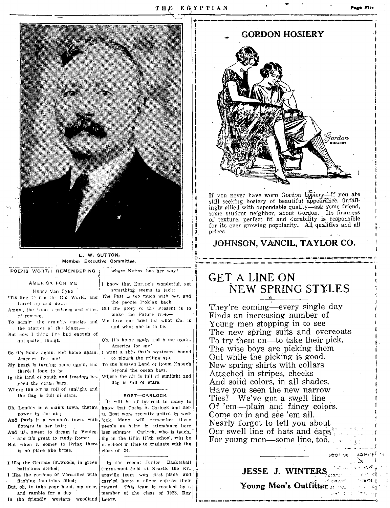

E. W. SUTTON. Member Executive Committee.

POEMS WORTH REMEMBERING

AMERICA FOR ME

Henry Van Eyke 'Tis fine to see the Od World, and The Past is too much with her, and tiavel an and down

Amon; the tamo is palaces and cities. But the glory of the Present is to of renown.

To admire the crumbly castles and We love cur land for what she is the statues o' the kings,-

But now I think I've had enough of antiquated things.

So it's home again, and home again, I want a ship that's westward bound America fer me!

there, I long to be,

yord the ceran bars,

Where the air is full of sunlight and the flag is full of stars.

Oh, London is a man's town, there's power in the air;

flowers in her hair;

- and it's great to study Rome; But when it comes to living there is no place like home.

I like the German fir woods, in green battalions drilled;

I like the gardens of Versailles with flashing fountains filled; But, ch, to take your hand, my dear,

and ramble for a day In the friendly western woodland Leevy.

I know that Europe's wonderful, yet something seems to lack:

where Nature has her way!

the people looking back.

make the Future free,-

and what she is to be.

Oh, it's home again and home again. America for me!

to plough the relling sea.

My heart is turning home again, and To the blessed Land of Room Enough beyond the ocean bars,

In the land of youth and freedom be- Where the air is full of sunlight and flag is full of stars.

#### **EOST--CARLOCK**

It will be of interest to many to know that Corbs A. Carlock and Zetta Bost were recently united in wed-And Paris is a woman's town, with 'ock. Many will remember these people as being in attendance here And it's sweet to dream in Venice, last summer Carleck, who is teach. ing in the UFin H'gh school, will be in school in time to graduate with the class of '24.

> In the recent Junior Basketball tournament held at Srarta, the Ev\_ ansville team won first place and carried home a silver cup as their reward. This team is coached by a member of the class of 1923. Roy



If you never have worn Gordon hosiery-if you are still seeking hosiery of beautiful appearance, unfailingly allied with dependable quality-ask some friend, some student neighbor, about Gordon. Its firmness of texture, perfect fit and durability is responsible for its ever growing popularity. All qualities and all prices.

#### JOHNSON, VANCIL, TAYLOR CO.

## **GET A LINE ON** NEW SPRING STYLES

They're coming—every single day Finds an increasing number of Young men stopping in to see The new spring suits and overcoats To try them on—to take their pick. The wise boys are picking them Out while the picking is good. New spring shirts with collars Attached in stripes, checks And solid colors, in all shades. Have you seen the new narrow Ties? We've got a swell line Of 'em—plain and fancy colors. Come on in and see 'em all. Nearly forgot to tell you about Our swell line of hats and caps<sup>3</sup>. For young men—some line, too.

## JESSE J. WINTERS

 $\hbar$  energy Young Men's Outfitter has a series 2047: 조건 최고 371 2. 3 화

rinavt€ f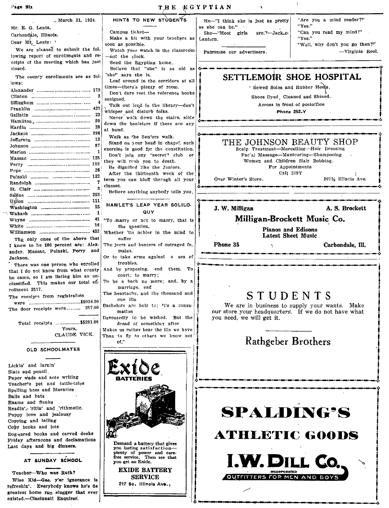| $_{\circ}$ March 31, 1924.                                            | HINTS TO NEW STUDENTS               |
|-----------------------------------------------------------------------|-------------------------------------|
| Mr. E. G. Lentz.                                                      |                                     |
| Carbondale, Illinois.                                                 | Campus ticket-                      |
| Dear Mt. Lentz:                                                       | Make a hit with your teachers       |
|                                                                       | soon as possible.                   |
| We are pleased to submit the fol-                                     | Watch your watch in the classre     |
| lowing report of enrollments and re-                                  | -not the clock.                     |
| ceipts of the meeting which has just                                  | Send the Egyptian home.             |
| closed.                                                               | Believe that "she" is as old        |
| The county enrollments are as fol-                                    | "she" says she is.                  |
| lows:                                                                 | Loaf around in the corridors at     |
|                                                                       | times-there's plenty of room.       |
| 3                                                                     | Don't dare rest the reference bo    |
| 4                                                                     | assigned.                           |
|                                                                       | Talk out loud in the library-de     |
| 23                                                                    | whisper and disturb folks.          |
| 20                                                                    | Never walk down the stairs, sl      |
| 28                                                                    | down the banisters if there are :   |
|                                                                       | at hand.                            |
| 13                                                                    | Walk as the Sen'ors walk.           |
| 87                                                                    | Stand on your head in chapet, st    |
| 1                                                                     | exercise is good for the constituti |
|                                                                       | Don't join any "secret" club        |
|                                                                       | they will rush you to death.        |
| 26                                                                    | Be dignified like the Juniors.      |
|                                                                       | After the thirteenth week of        |
| 7                                                                     | term you can bluff through all y    |
| 3                                                                     | classes.                            |
|                                                                       | Believe anything anybody tells yo   |
|                                                                       |                                     |
| 15.                                                                   | HAMLET'S LEAP YEAR SOLIL            |
| $\mathbf{1}$ :                                                        | QUY                                 |
| 41                                                                    | "To marry or net to marry, that     |
| 16 I                                                                  | the question,                       |
|                                                                       | Whether 'tis nobler in the mind     |
| The only ones of the above that                                       | suffer                              |
| I know to be 100 percent are: Alex- The jeers and banters of outraged |                                     |

ander, Massac, Pulaski, Perry and Jackson. There was one person who enrolled

that I do not know from what county he came, so I am listing him as unclassified. This makes our total efirollment 2517.

The receipts from registration The door receipts were.......... 257.00

> Total receipts ...................\$5291.00 Vours. CLAUDE VICK.

#### **OLD SCHOOLMATES**

Lickin' and larnin' Slate and pencil Paper wads and note writing Teacher's pet and tattle-tales Spelling bees and literaries Balls and bats Exams and flunks Readin', 'ritin' and 'rithmetic. Puppy love and jealousy Copying and telling Copy books and lots Dog-eared books and carved desks Friday afternoons and declamations Last days and big dinners.

AT SUNDAY SCHOOL

Teacher-Who was Ruth?

Wise Kid-Gee, y'er ignorance is refreshin'. Everybody knows he's de greatest home run slugger that ever existed.-Cincinnati Enquirer.

icketit with your teachers as Lantern. sible. ar watch in the classroom inek. Egyptian home. hat "she" is as old as she is. nd in the corridors at all s plenty of room. rest the reference books loud in the library-don't disturb folks. k down the stairs, slide anisters if there are any he Sen'ors walk. your head in chapel, such good for the constitution. any "secret" club or sh you to death. d like the Juniors. thirteenth week of the n bluff threugh all your Over Winter's Store. vthing anybody tells you. LEAP YEAR SOLILO-QUY or net to mapry, that is iestion. nobler in the mind to Phone 35 d banters of outraged fe\_ males. Or to take arms against a sea of troubles. And by proposing, end them. To court: to marry: To be a bach no more; and, by a marriage, end The heartache, and the thousand and one ills Bachelors are heir to: itis a consumation Devoutedly to be wished. But the dread of something after Makes us rather bear the ills we have Than to fly to others we know not



of."

Demand a battery that gives you lasting satisfactionplenty of power and care-<br>free service. Then see that you get an Exide.

**EXIDE BATTERY SERVICE** 

217 So. Illinois Ave.,

He-"I think she is just as pretty as she can be." She-"Most girls  $are 2 -$ Jack  $\alpha$ 

"Are you a mind reader?" "Yes." "Can you read my mind?" "Yes." "Well, why den't you go then?"

-Virginia Reel.

Patronize our advertisers.

SETTLEMOIR SHOE HOSPITAL

- Sewed Soles and Rubber Heels.

Shoes Dyed Cleaned and Shined.

Across in front of postoffice

**Phone 252-Y** 

#### THE JOHNSON BEAUTY SHOP

Scalp Treatment-Marcelling-Hair Dressing Fac'al Massage-Manicuring-Shampooing

Women and Children Hair Bobbing.

For Appointments

Call 279Y

2071/2 Illinois Ave.

J. W. Milligan

A. S. Brockett

#### Milligan-Brockett Music Co.

**Pianos and Edisons** Latest Sheet Music

 $\mathbf{r}$ 

Carbondale, Ill.

## STUDENTS

We are in business to supply your wants. Make our store your headquarters. If we do not have what you need, we will get it.

## Rathgeber Brothers

# **SPALDING'S**

ATHLETIC GOODS

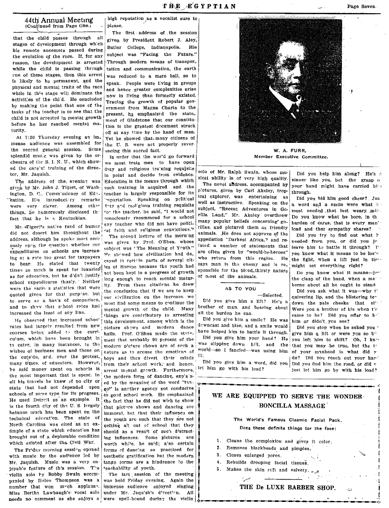#### 44th Annual Meeting (Continued from Page One.)

that the child passes through all stages of development through which his remote ancestors passed during the evolution of the race. If, for any reason, the development is arrested while the child is passing through one of these stages, then this arrest is likely to be permanent, and the physical and mental traits of the race while in this stage will dominate the activities of the child. He concluded by making the point that one of the tasks of the teacher is to see that the child is not arrested in mental growth before he has reached mental maturity

At 7:30 Thursday evening an im. mense audience was assembled for the second general session. Some splendid music was given by the orchestra of the S. I. N. U., which showed the care'u! training of the director, Mr. Jaquish.

The address of the evening was given by Mr. John J. Tigert, of Washington, D. C., Comm'ssioner of Edyeation. His introduct ry remarks were very clever. Among other things, he humorously disclosed the fact that he is a Kentuckian.

Mr. digert's native fund of humor did not desert him throughout the address, although he spoke most seriously upon the question whether our expenditures on schools are increasing at a rate too great for taxpayers to bear. He stated that twenty times as much is spent for luxuries? as for education, but he d'du't justify school expenditures thusly. Neither were the various statistics that were quoted given for that purpose, but to serve as a basis of comparison, and to show that shool rates had increased the least of any line.

He observed that increased schoo' rates had largely resulted from new courses being added to the curriculum, which have been brought in to cater, in many instances, to the wishes of business men and those on the outs'de, ard, over the protest, many times, of educators. However, be said money spent on schools is the most important that is spent. In all his travels he knew of no city or state that had not depended upon schools of some type for its progress. He used Detroit as an example. It is the fourth city of the U.S. largely because much has been spent on the technical education. The state of North Carolina was cited as an example of a state which education bas brought out of a deplorable condition which existed after the Civil War.

The Fr'day morning session opened with music by the audience led by Mr. Jaquish. Music was a very enjoyab'e feature of this session. The violin solo by Bobby Swain accempanied by Helen Thompson was a number that won much applaus?. Miss Bertha Lawbaugh's vocal solo needs no comment as she enjoys a

high reputation as a vocalist sure to nlease.

The first address of the session given by President Robert J. Aley, Butler College, Indianapolis, His subject was "Facing the Future." Through modern means of transpor\_ tation and communication, the earth was reduced to a mere ball, so to speak. People were living in groups and hence greater complexities arise now in living than formerly existed. Tracing the growth of popular government from Magna Charta to the present, he emphasized the state\_ ment of Gladstone that our constitution is the greatest document struck off at any time by the hand of man. Yet he showed that many citizens of the U.S. were net properly reverencing this sacred fact.

in order that the wor'd go forward we must train men to have open duty and religious training requisite in point and decide from evidence. Education is the means through which such training is acquired and the teacher is largely responsible for its mpartation. Speaking on pelitical duty and reeligious training requisite for the teacher, he said, "I would not consciously recommend for a school any teacher who did not have political faith and religious convictions." The second lecture of the morning was given by Prof. O'Shea. whose subject was 'The Meaning of Youth." He showed how civilization had de\_ cayed in certrin parts of several cities of Europe because the youth had not been kept in a pregress of growth long enough to reach mental maturity. From these citations he drew the conclusion that if we are to keep our civilization on the increase. we must find some means to continue the mental growth of the child. Many things are contributary to arresting this development, among which is the picture shows and medern dance halls. Prof. O'Shea made the statement that probably 90 percent of the modern picture shows are of such a nature as to arouse the emotions of boys and thus divert their minds from their school work, and hence, arrest mental growth. Furthermore, the medern form of dancing, exp'a'ned by the meaning of the word "tango" is another agency not conducive to good school work. He emphasized the fact that he did not wish to show that picture shows and dancing are immoral, but that their influence on the youth are such that they are not getting all out of school that they should as a result of such distracting influences. Some pictures are worth while, he said; a'so certain forms of dancing as practiced for aesthetic gratification but the modern tango forms are a hindrance to the teachability of youth.

The last session of the meeting was held Friday evening. Again the immense audience enjoyed singing under Mr. Jaqu'sh's d'rection. All were spell-bound during the violin



W. A. FURR. Member Executive Committee.

solo of Mr. Ralph Swain, whose musical ability is of very high quality,

The novel address, accompanied by pictures, given by Carl Akeley, tropical explorer, was entertaining as well as instructive. Speaking on the subject, "Recent Adventures in Gorilla Land," Mr. Akeley overthrew many popular beliefs concerning' gorillas, and pictured them as friendly animals. He does not approve of the appellation "Darkest Africa," and refuted a number of statements that are often given by "would-be-heroes" who return from this region. He says man is the enemy and is responsible for the blood\_thirsty nature of most of the animals.

#### AS TO YOU

-Selected Did you give him a lift? He's a brother of man. and bearing about all the burden he can.

Did you give him a smile? He was dewncast and blue, and a smile would have helped him to battle it through. Did you give him your hand? He was slipping down hill, and the that you may be true, but the to world-so I fancfed-was using him of your manhood is what did y

let him go with his load?

Did you help him along? He's a sinner like you, but the grasp o your hand might have carried him throngh

Did you bid him good cheer? Jus a word and a smile were what he most needed that last weary mile. Do you know what he bore, in th hurden of cares, that is every man' load and that sympathy shares?

Did you try to find out what h needed from you, or did you iv leave him to battle it through?  $\Gamma$ vou know what it means to be los'" the fight, when a lift just in time might set everything right?

Do you know what it means-just the clasp of the hand, when a maborne about all he ought to stand

Did you ask what it was-why t' quivering lip, and the blistering tedown the pale cheeks that sl' Were you a brother of his when the came to be? Did you offer to he him or didn't vou see?

Did you stop when he asked you ' give him a lift or were you so b" you left him to shift? Oh, I know do? Did you reach out your hard Did you give him a word, did you Did you find him the road, or did y just let him go by with his load?

#### WE ARE EQUIPPED TO SERVE THE WONDER. BONCILLA MASSAGE

#### The World's Famous Clasmic Facial Pack. Does these definite things for the face:

- 1. Cleans the complexion and gives it color.
- $2^{\circ}$ Removes blackheads and pimples.
- $\mathbf{R}$ Closes enlarged pores.
- 4. Rebuilds drooping facial tissues.
- 5. Makes the skin seft and velvety.